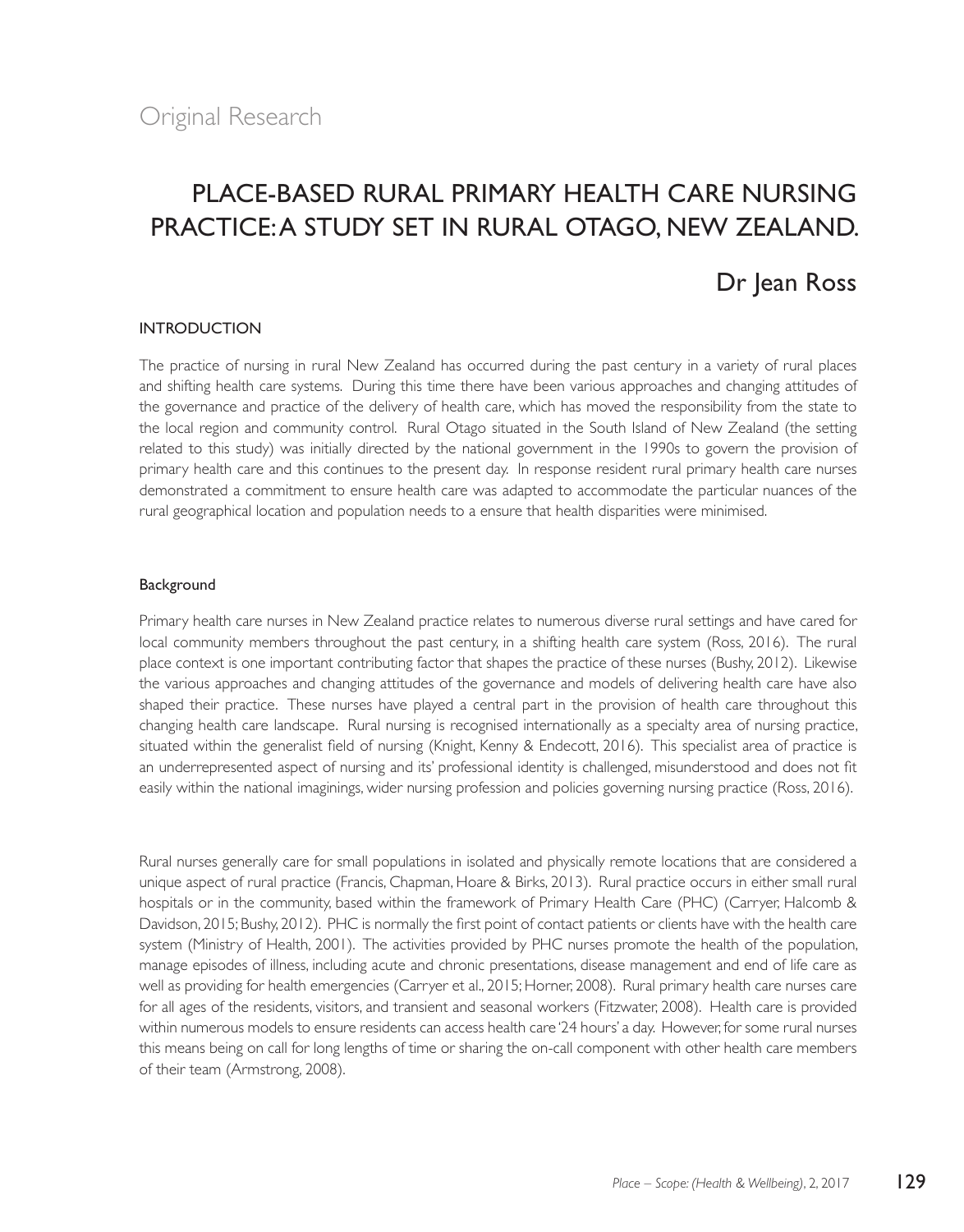# Place-based rural primary health care nursing practice: A study set in rural Otago, New Zealand.

## Dr Jean Ross

### INTRODUCTION

The practice of nursing in rural New Zealand has occurred during the past century in a variety of rural places and shifting health care systems. During this time there have been various approaches and changing attitudes of the governance and practice of the delivery of health care, which has moved the responsibility from the state to the local region and community control. Rural Otago situated in the South Island of New Zealand (the setting related to this study) was initially directed by the national government in the 1990s to govern the provision of primary health care and this continues to the present day. In response resident rural primary health care nurses demonstrated a commitment to ensure health care was adapted to accommodate the particular nuances of the rural geographical location and population needs to a ensure that health disparities were minimised.

#### Background

Primary health care nurses in New Zealand practice relates to numerous diverse rural settings and have cared for local community members throughout the past century, in a shifting health care system (Ross, 2016). The rural place context is one important contributing factor that shapes the practice of these nurses (Bushy, 2012). Likewise the various approaches and changing attitudes of the governance and models of delivering health care have also shaped their practice. These nurses have played a central part in the provision of health care throughout this changing health care landscape. Rural nursing is recognised internationally as a specialty area of nursing practice, situated within the generalist field of nursing (Knight, Kenny & Endecott, 2016). This specialist area of practice is an underrepresented aspect of nursing and its' professional identity is challenged, misunderstood and does not fit easily within the national imaginings, wider nursing profession and policies governing nursing practice (Ross, 2016).

Rural nurses generally care for small populations in isolated and physically remote locations that are considered a unique aspect of rural practice (Francis, Chapman, Hoare & Birks, 2013). Rural practice occurs in either small rural hospitals or in the community, based within the framework of Primary Health Care (PHC) (Carryer, Halcomb & Davidson, 2015; Bushy, 2012). PHC is normally the first point of contact patients or clients have with the health care system (Ministry of Health, 2001). The activities provided by PHC nurses promote the health of the population, manage episodes of illness, including acute and chronic presentations, disease management and end of life care as well as providing for health emergencies (Carryer et al., 2015; Horner, 2008). Rural primary health care nurses care for all ages of the residents, visitors, and transient and seasonal workers (Fitzwater, 2008). Health care is provided within numerous models to ensure residents can access health care '24 hours' a day. However, for some rural nurses this means being on call for long lengths of time or sharing the on-call component with other health care members of their team (Armstrong, 2008).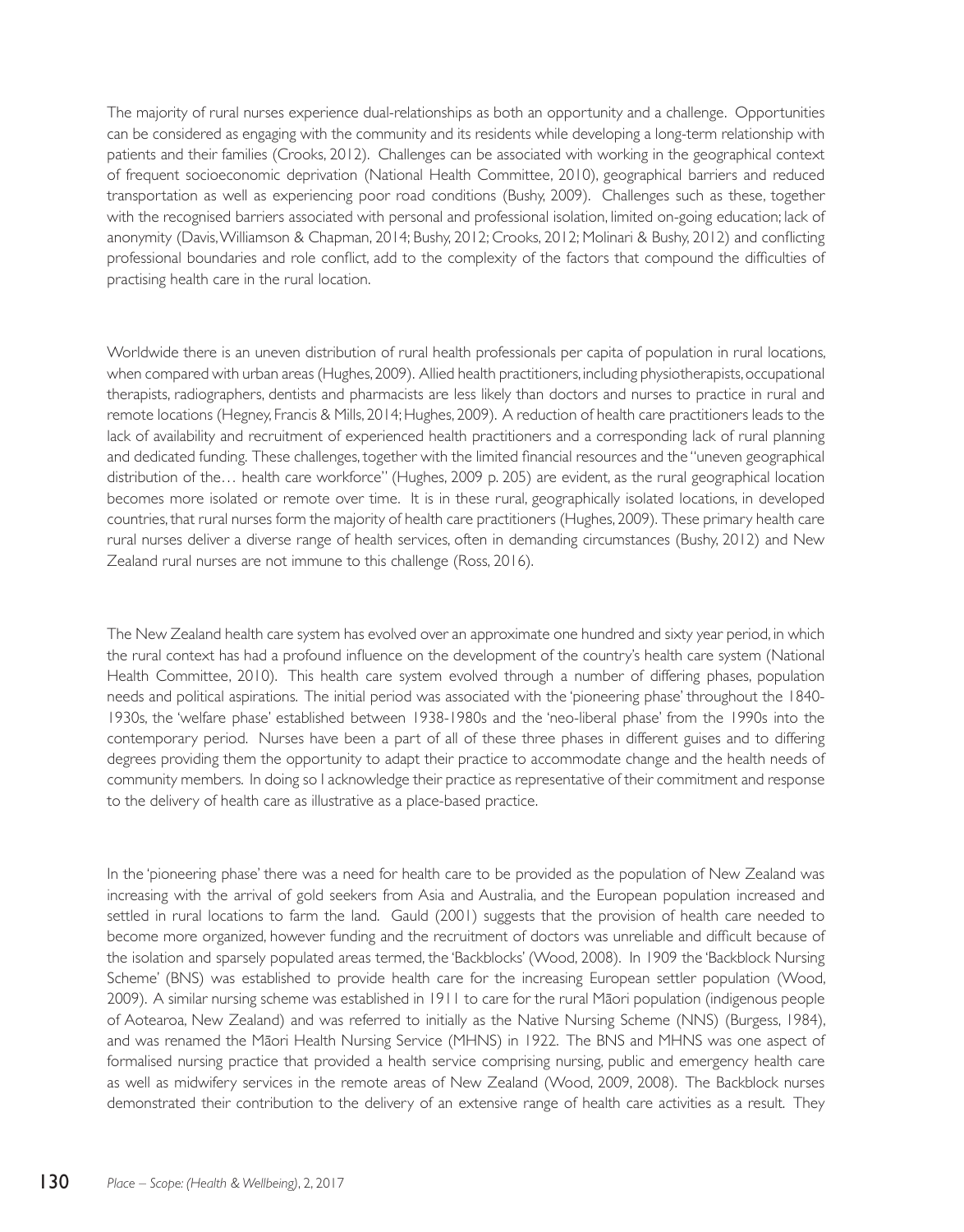The majority of rural nurses experience dual-relationships as both an opportunity and a challenge. Opportunities can be considered as engaging with the community and its residents while developing a long-term relationship with patients and their families (Crooks, 2012). Challenges can be associated with working in the geographical context of frequent socioeconomic deprivation (National Health Committee, 2010), geographical barriers and reduced transportation as well as experiencing poor road conditions (Bushy, 2009). Challenges such as these, together with the recognised barriers associated with personal and professional isolation, limited on-going education; lack of anonymity (Davis, Williamson & Chapman, 2014; Bushy, 2012; Crooks, 2012; Molinari & Bushy, 2012) and conflicting professional boundaries and role conflict, add to the complexity of the factors that compound the difficulties of practising health care in the rural location.

Worldwide there is an uneven distribution of rural health professionals per capita of population in rural locations, when compared with urban areas (Hughes, 2009). Allied health practitioners, including physiotherapists, occupational therapists, radiographers, dentists and pharmacists are less likely than doctors and nurses to practice in rural and remote locations (Hegney, Francis & Mills, 2014; Hughes, 2009). A reduction of health care practitioners leads to the lack of availability and recruitment of experienced health practitioners and a corresponding lack of rural planning and dedicated funding. These challenges, together with the limited financial resources and the "uneven geographical distribution of the… health care workforce" (Hughes, 2009 p. 205) are evident, as the rural geographical location becomes more isolated or remote over time. It is in these rural, geographically isolated locations, in developed countries, that rural nurses form the majority of health care practitioners (Hughes, 2009). These primary health care rural nurses deliver a diverse range of health services, often in demanding circumstances (Bushy, 2012) and New Zealand rural nurses are not immune to this challenge (Ross, 2016).

The New Zealand health care system has evolved over an approximate one hundred and sixty year period, in which the rural context has had a profound influence on the development of the country's health care system (National Health Committee, 2010). This health care system evolved through a number of differing phases, population needs and political aspirations. The initial period was associated with the 'pioneering phase' throughout the 1840- 1930s, the 'welfare phase' established between 1938-1980s and the 'neo-liberal phase' from the 1990s into the contemporary period. Nurses have been a part of all of these three phases in different guises and to differing degrees providing them the opportunity to adapt their practice to accommodate change and the health needs of community members. In doing so I acknowledge their practice as representative of their commitment and response to the delivery of health care as illustrative as a place-based practice.

In the 'pioneering phase' there was a need for health care to be provided as the population of New Zealand was increasing with the arrival of gold seekers from Asia and Australia, and the European population increased and settled in rural locations to farm the land. Gauld (2001) suggests that the provision of health care needed to become more organized, however funding and the recruitment of doctors was unreliable and difficult because of the isolation and sparsely populated areas termed, the 'Backblocks' (Wood, 2008). In 1909 the 'Backblock Nursing Scheme' (BNS) was established to provide health care for the increasing European settler population (Wood, 2009). A similar nursing scheme was established in 1911 to care for the rural Mäori population (indigenous people of Aotearoa, New Zealand) and was referred to initially as the Native Nursing Scheme (NNS) (Burgess, 1984), and was renamed the Mäori Health Nursing Service (MHNS) in 1922. The BNS and MHNS was one aspect of formalised nursing practice that provided a health service comprising nursing, public and emergency health care as well as midwifery services in the remote areas of New Zealand (Wood, 2009, 2008). The Backblock nurses demonstrated their contribution to the delivery of an extensive range of health care activities as a result. They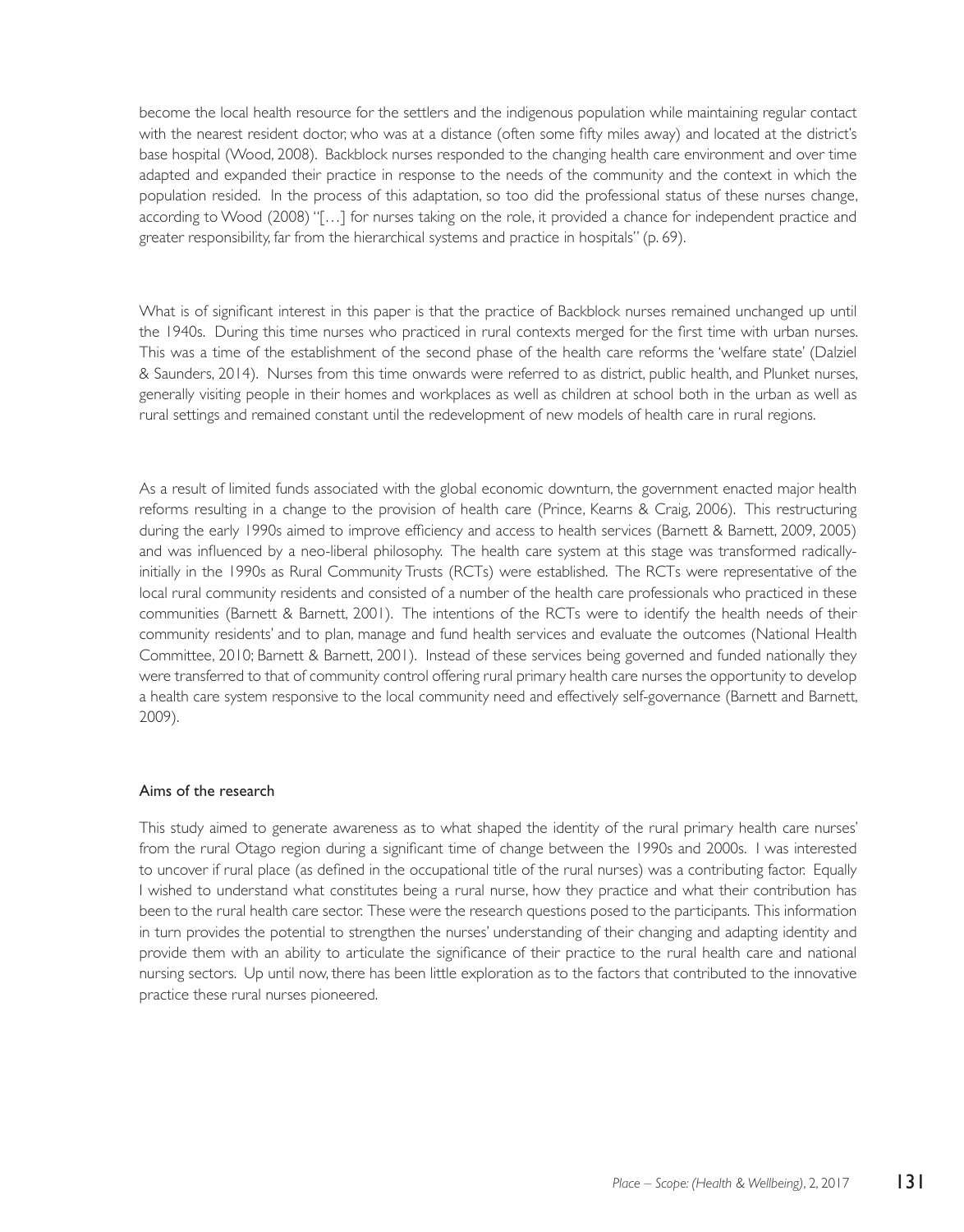become the local health resource for the settlers and the indigenous population while maintaining regular contact with the nearest resident doctor, who was at a distance (often some fifty miles away) and located at the district's base hospital (Wood, 2008). Backblock nurses responded to the changing health care environment and over time adapted and expanded their practice in response to the needs of the community and the context in which the population resided. In the process of this adaptation, so too did the professional status of these nurses change, according to Wood (2008) "[…] for nurses taking on the role, it provided a chance for independent practice and greater responsibility, far from the hierarchical systems and practice in hospitals" (p. 69).

What is of significant interest in this paper is that the practice of Backblock nurses remained unchanged up until the 1940s. During this time nurses who practiced in rural contexts merged for the first time with urban nurses. This was a time of the establishment of the second phase of the health care reforms the 'welfare state' (Dalziel & Saunders, 2014). Nurses from this time onwards were referred to as district, public health, and Plunket nurses, generally visiting people in their homes and workplaces as well as children at school both in the urban as well as rural settings and remained constant until the redevelopment of new models of health care in rural regions.

As a result of limited funds associated with the global economic downturn, the government enacted major health reforms resulting in a change to the provision of health care (Prince, Kearns & Craig, 2006). This restructuring during the early 1990s aimed to improve efficiency and access to health services (Barnett & Barnett, 2009, 2005) and was influenced by a neo-liberal philosophy. The health care system at this stage was transformed radicallyinitially in the 1990s as Rural Community Trusts (RCTs) were established. The RCTs were representative of the local rural community residents and consisted of a number of the health care professionals who practiced in these communities (Barnett & Barnett, 2001). The intentions of the RCTs were to identify the health needs of their community residents' and to plan, manage and fund health services and evaluate the outcomes (National Health Committee, 2010; Barnett & Barnett, 2001). Instead of these services being governed and funded nationally they were transferred to that of community control offering rural primary health care nurses the opportunity to develop a health care system responsive to the local community need and effectively self-governance (Barnett and Barnett, 2009).

#### Aims of the research

This study aimed to generate awareness as to what shaped the identity of the rural primary health care nurses' from the rural Otago region during a significant time of change between the 1990s and 2000s. I was interested to uncover if rural place (as defined in the occupational title of the rural nurses) was a contributing factor. Equally I wished to understand what constitutes being a rural nurse, how they practice and what their contribution has been to the rural health care sector. These were the research questions posed to the participants. This information in turn provides the potential to strengthen the nurses' understanding of their changing and adapting identity and provide them with an ability to articulate the significance of their practice to the rural health care and national nursing sectors. Up until now, there has been little exploration as to the factors that contributed to the innovative practice these rural nurses pioneered.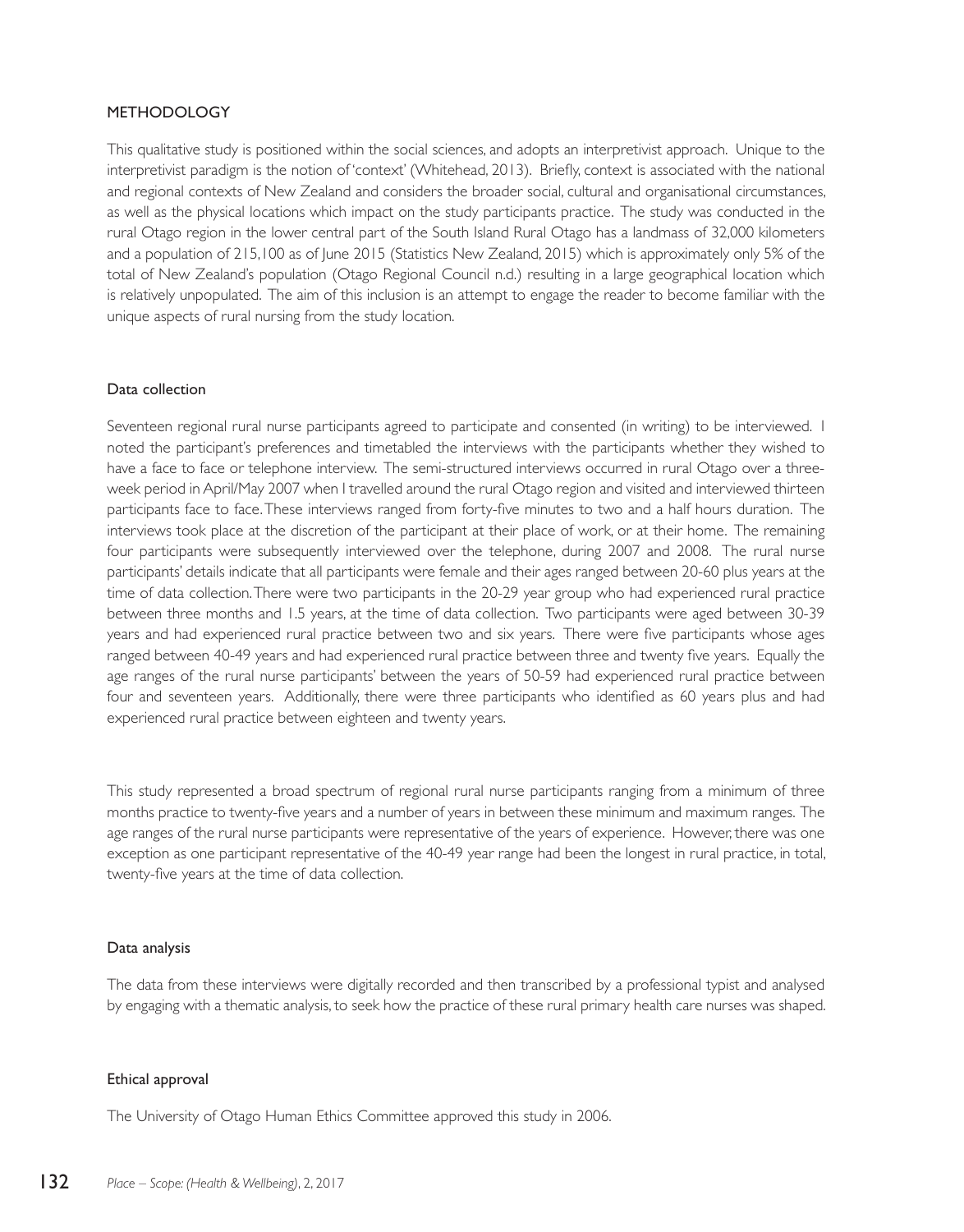## METHODOLOGY

This qualitative study is positioned within the social sciences, and adopts an interpretivist approach. Unique to the interpretivist paradigm is the notion of 'context' (Whitehead, 2013). Briefly, context is associated with the national and regional contexts of New Zealand and considers the broader social, cultural and organisational circumstances, as well as the physical locations which impact on the study participants practice. The study was conducted in the rural Otago region in the lower central part of the South Island Rural Otago has a landmass of 32,000 kilometers and a population of 215,100 as of June 2015 (Statistics New Zealand, 2015) which is approximately only 5% of the total of New Zealand's population (Otago Regional Council n.d.) resulting in a large geographical location which is relatively unpopulated. The aim of this inclusion is an attempt to engage the reader to become familiar with the unique aspects of rural nursing from the study location.

#### Data collection

Seventeen regional rural nurse participants agreed to participate and consented (in writing) to be interviewed. I noted the participant's preferences and timetabled the interviews with the participants whether they wished to have a face to face or telephone interview. The semi-structured interviews occurred in rural Otago over a threeweek period in April/May 2007 when I travelled around the rural Otago region and visited and interviewed thirteen participants face to face. These interviews ranged from forty-five minutes to two and a half hours duration. The interviews took place at the discretion of the participant at their place of work, or at their home. The remaining four participants were subsequently interviewed over the telephone, during 2007 and 2008. The rural nurse participants' details indicate that all participants were female and their ages ranged between 20-60 plus years at the time of data collection. There were two participants in the 20-29 year group who had experienced rural practice between three months and 1.5 years, at the time of data collection. Two participants were aged between 30-39 years and had experienced rural practice between two and six years. There were five participants whose ages ranged between 40-49 years and had experienced rural practice between three and twenty five years. Equally the age ranges of the rural nurse participants' between the years of 50-59 had experienced rural practice between four and seventeen years. Additionally, there were three participants who identified as 60 years plus and had experienced rural practice between eighteen and twenty years.

This study represented a broad spectrum of regional rural nurse participants ranging from a minimum of three months practice to twenty-five years and a number of years in between these minimum and maximum ranges. The age ranges of the rural nurse participants were representative of the years of experience. However, there was one exception as one participant representative of the 40-49 year range had been the longest in rural practice, in total, twenty-five years at the time of data collection.

#### Data analysis

The data from these interviews were digitally recorded and then transcribed by a professional typist and analysed by engaging with a thematic analysis, to seek how the practice of these rural primary health care nurses was shaped.

#### Ethical approval

The University of Otago Human Ethics Committee approved this study in 2006.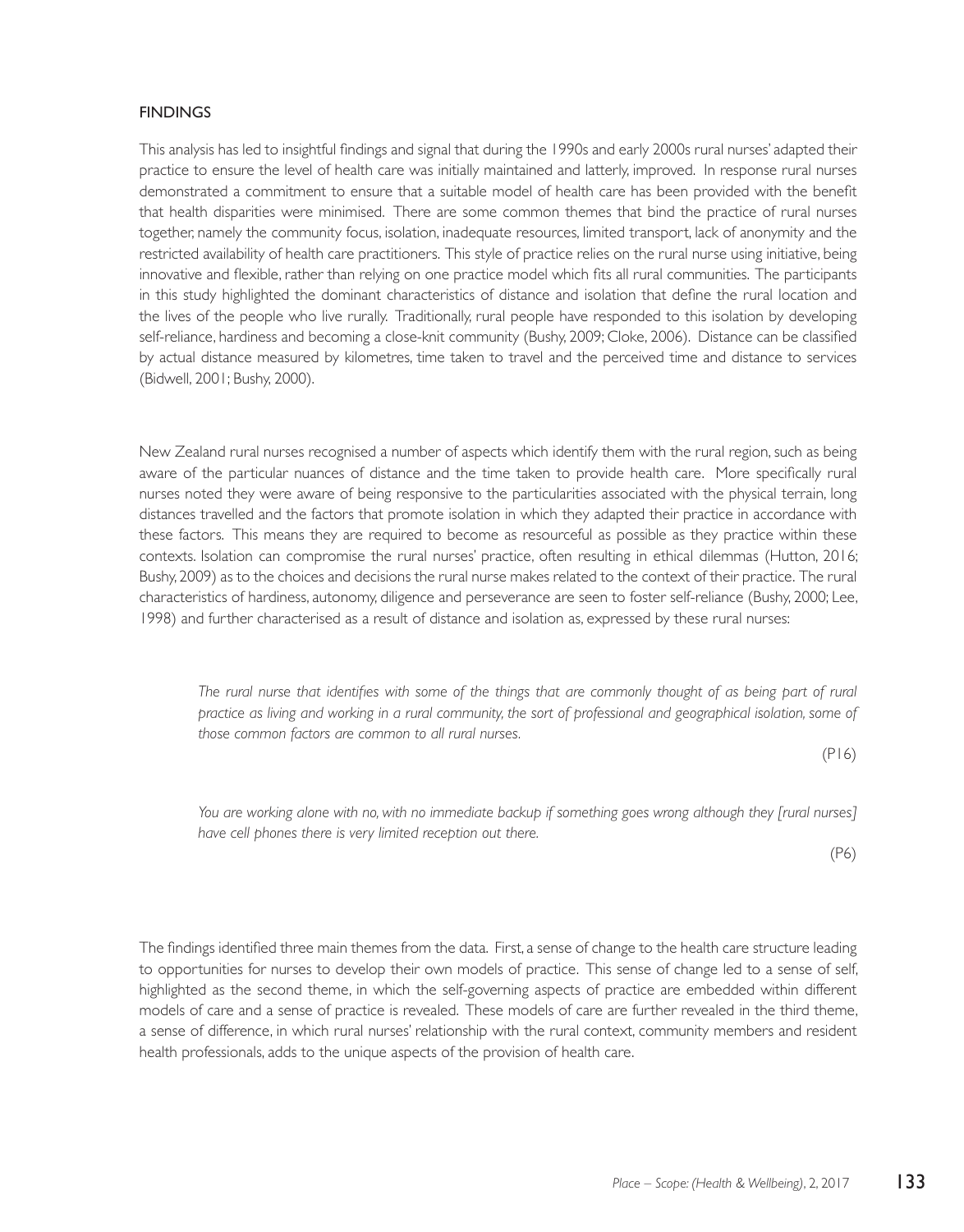## **FINDINGS**

This analysis has led to insightful findings and signal that during the 1990s and early 2000s rural nurses' adapted their practice to ensure the level of health care was initially maintained and latterly, improved. In response rural nurses demonstrated a commitment to ensure that a suitable model of health care has been provided with the benefit that health disparities were minimised. There are some common themes that bind the practice of rural nurses together, namely the community focus, isolation, inadequate resources, limited transport, lack of anonymity and the restricted availability of health care practitioners. This style of practice relies on the rural nurse using initiative, being innovative and flexible, rather than relying on one practice model which fits all rural communities. The participants in this study highlighted the dominant characteristics of distance and isolation that define the rural location and the lives of the people who live rurally. Traditionally, rural people have responded to this isolation by developing self-reliance, hardiness and becoming a close-knit community (Bushy, 2009; Cloke, 2006). Distance can be classified by actual distance measured by kilometres, time taken to travel and the perceived time and distance to services (Bidwell, 2001; Bushy, 2000).

New Zealand rural nurses recognised a number of aspects which identify them with the rural region, such as being aware of the particular nuances of distance and the time taken to provide health care. More specifically rural nurses noted they were aware of being responsive to the particularities associated with the physical terrain, long distances travelled and the factors that promote isolation in which they adapted their practice in accordance with these factors. This means they are required to become as resourceful as possible as they practice within these contexts. Isolation can compromise the rural nurses' practice, often resulting in ethical dilemmas (Hutton, 2016; Bushy, 2009) as to the choices and decisions the rural nurse makes related to the context of their practice. The rural characteristics of hardiness, autonomy, diligence and perseverance are seen to foster self-reliance (Bushy, 2000; Lee, 1998) and further characterised as a result of distance and isolation as, expressed by these rural nurses:

The rural nurse that identifies with some of the things that are commonly thought of as being part of rural *practice as living and working in a rural community, the sort of professional and geographical isolation, some of those common factors are common to all rural nurses.* 

(P16)

*You are working alone with no, with no immediate backup if something goes wrong although they [rural nurses] have cell phones there is very limited reception out there.*

(P6)

The findings identified three main themes from the data. First, a sense of change to the health care structure leading to opportunities for nurses to develop their own models of practice. This sense of change led to a sense of self, highlighted as the second theme, in which the self-governing aspects of practice are embedded within different models of care and a sense of practice is revealed. These models of care are further revealed in the third theme, a sense of difference, in which rural nurses' relationship with the rural context, community members and resident health professionals, adds to the unique aspects of the provision of health care.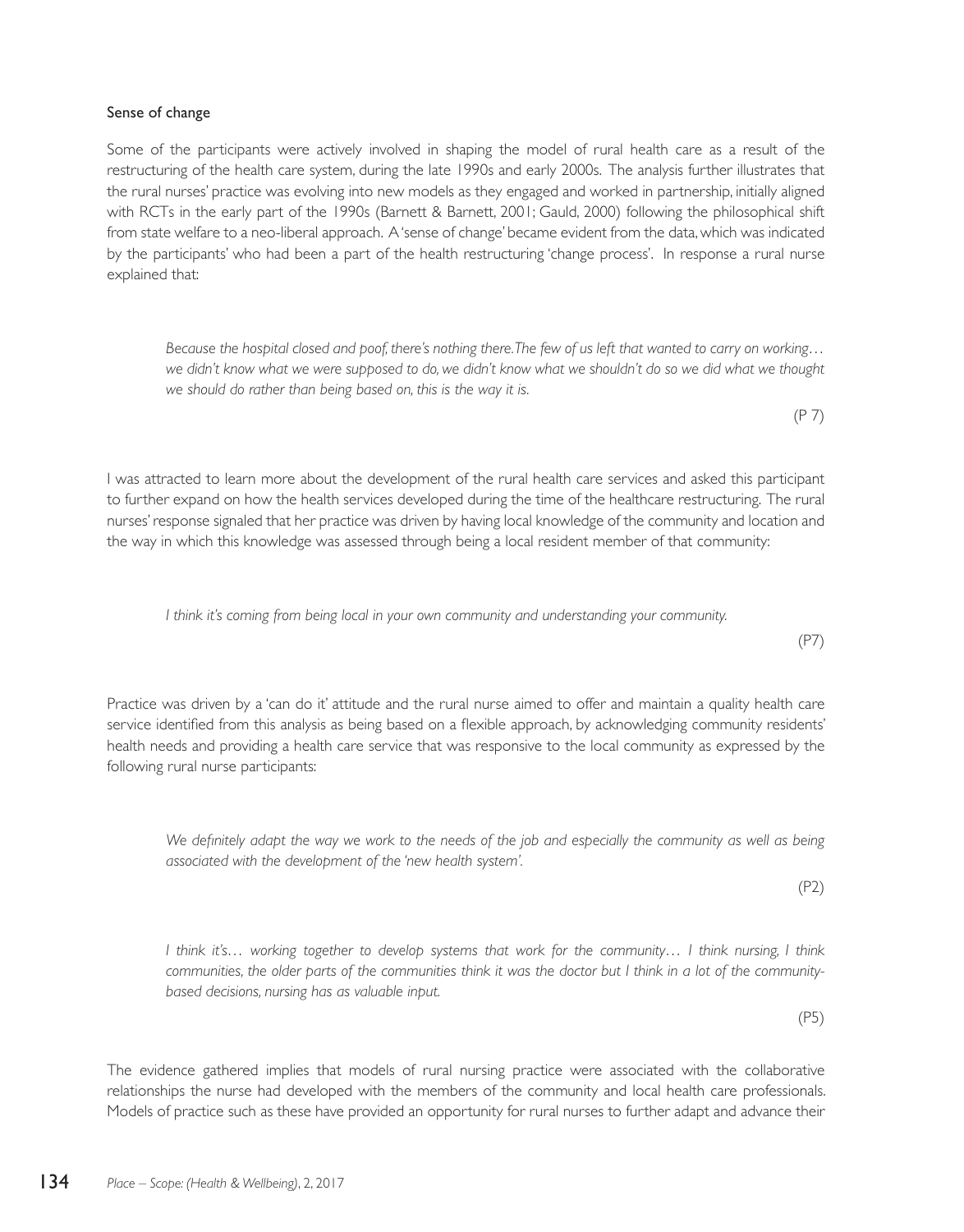## Sense of change

Some of the participants were actively involved in shaping the model of rural health care as a result of the restructuring of the health care system, during the late 1990s and early 2000s. The analysis further illustrates that the rural nurses' practice was evolving into new models as they engaged and worked in partnership, initially aligned with RCTs in the early part of the 1990s (Barnett & Barnett, 2001; Gauld, 2000) following the philosophical shift from state welfare to a neo-liberal approach. A 'sense of change' became evident from the data, which was indicated by the participants' who had been a part of the health restructuring 'change process'. In response a rural nurse explained that:

*Because the hospital closed and poof, there's nothing there. The few of us left that wanted to carry on working… we didn't know what we were supposed to do, we didn't know what we shouldn't do so we did what we thought we should do rather than being based on, this is the way it is.* 

I was attracted to learn more about the development of the rural health care services and asked this participant to further expand on how the health services developed during the time of the healthcare restructuring. The rural nurses' response signaled that her practice was driven by having local knowledge of the community and location and the way in which this knowledge was assessed through being a local resident member of that community:

*I think it's coming from being local in your own community and understanding your community.* 

Practice was driven by a 'can do it' attitude and the rural nurse aimed to offer and maintain a quality health care service identified from this analysis as being based on a flexible approach, by acknowledging community residents' health needs and providing a health care service that was responsive to the local community as expressed by the following rural nurse participants:

We definitely adapt the way we work to the needs of the job and especially the community as well as being *associated with the development of the 'new health system'.*

*I think it's… working together to develop systems that work for the community… I think nursing, I think communities, the older parts of the communities think it was the doctor but I think in a lot of the communitybased decisions, nursing has as valuable input.* 

The evidence gathered implies that models of rural nursing practice were associated with the collaborative relationships the nurse had developed with the members of the community and local health care professionals. Models of practice such as these have provided an opportunity for rural nurses to further adapt and advance their

(P7)

(P 7)

(P2)

(P5)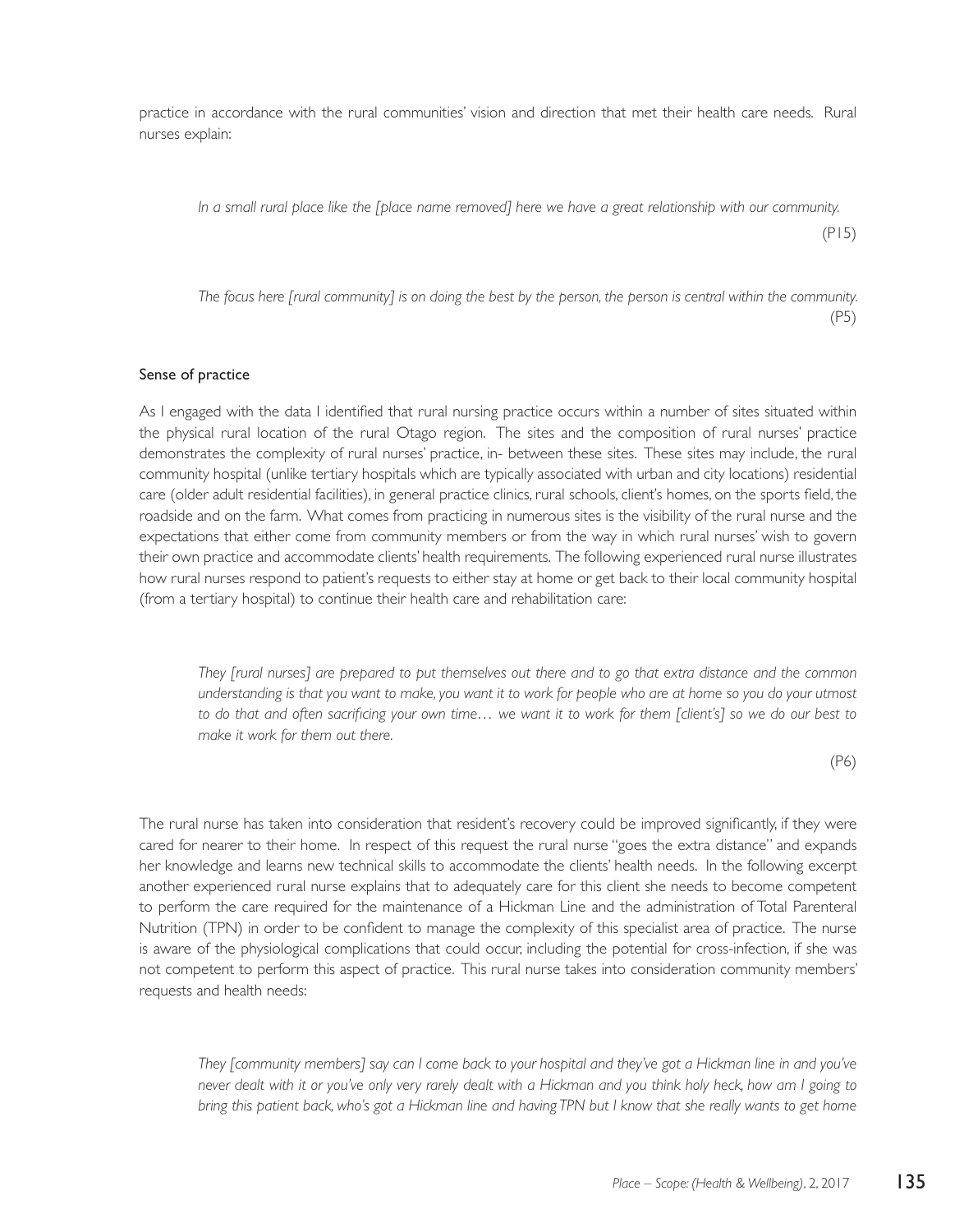practice in accordance with the rural communities' vision and direction that met their health care needs. Rural nurses explain:

*In a small rural place like the [place name removed] here we have a great relationship with our community.* 

(P15)

*The focus here [rural community] is on doing the best by the person, the person is central within the community.*  (P5)

#### Sense of practice

As I engaged with the data I identified that rural nursing practice occurs within a number of sites situated within the physical rural location of the rural Otago region. The sites and the composition of rural nurses' practice demonstrates the complexity of rural nurses' practice, in- between these sites. These sites may include, the rural community hospital (unlike tertiary hospitals which are typically associated with urban and city locations) residential care (older adult residential facilities), in general practice clinics, rural schools, client's homes, on the sports field, the roadside and on the farm. What comes from practicing in numerous sites is the visibility of the rural nurse and the expectations that either come from community members or from the way in which rural nurses' wish to govern their own practice and accommodate clients' health requirements. The following experienced rural nurse illustrates how rural nurses respond to patient's requests to either stay at home or get back to their local community hospital (from a tertiary hospital) to continue their health care and rehabilitation care:

*They [rural nurses] are prepared to put themselves out there and to go that extra distance and the common understanding is that you want to make, you want it to work for people who are at home so you do your utmost to do that and often sacrificing your own time… we want it to work for them [client's] so we do our best to make it work for them out there.*

(P6)

The rural nurse has taken into consideration that resident's recovery could be improved significantly, if they were cared for nearer to their home. In respect of this request the rural nurse "goes the extra distance" and expands her knowledge and learns new technical skills to accommodate the clients' health needs. In the following excerpt another experienced rural nurse explains that to adequately care for this client she needs to become competent to perform the care required for the maintenance of a Hickman Line and the administration of Total Parenteral Nutrition (TPN) in order to be confident to manage the complexity of this specialist area of practice. The nurse is aware of the physiological complications that could occur, including the potential for cross-infection, if she was not competent to perform this aspect of practice. This rural nurse takes into consideration community members' requests and health needs:

*They [community members] say can I come back to your hospital and they've got a Hickman line in and you've never dealt with it or you've only very rarely dealt with a Hickman and you think holy heck, how am I going to bring this patient back, who's got a Hickman line and having TPN but I know that she really wants to get home*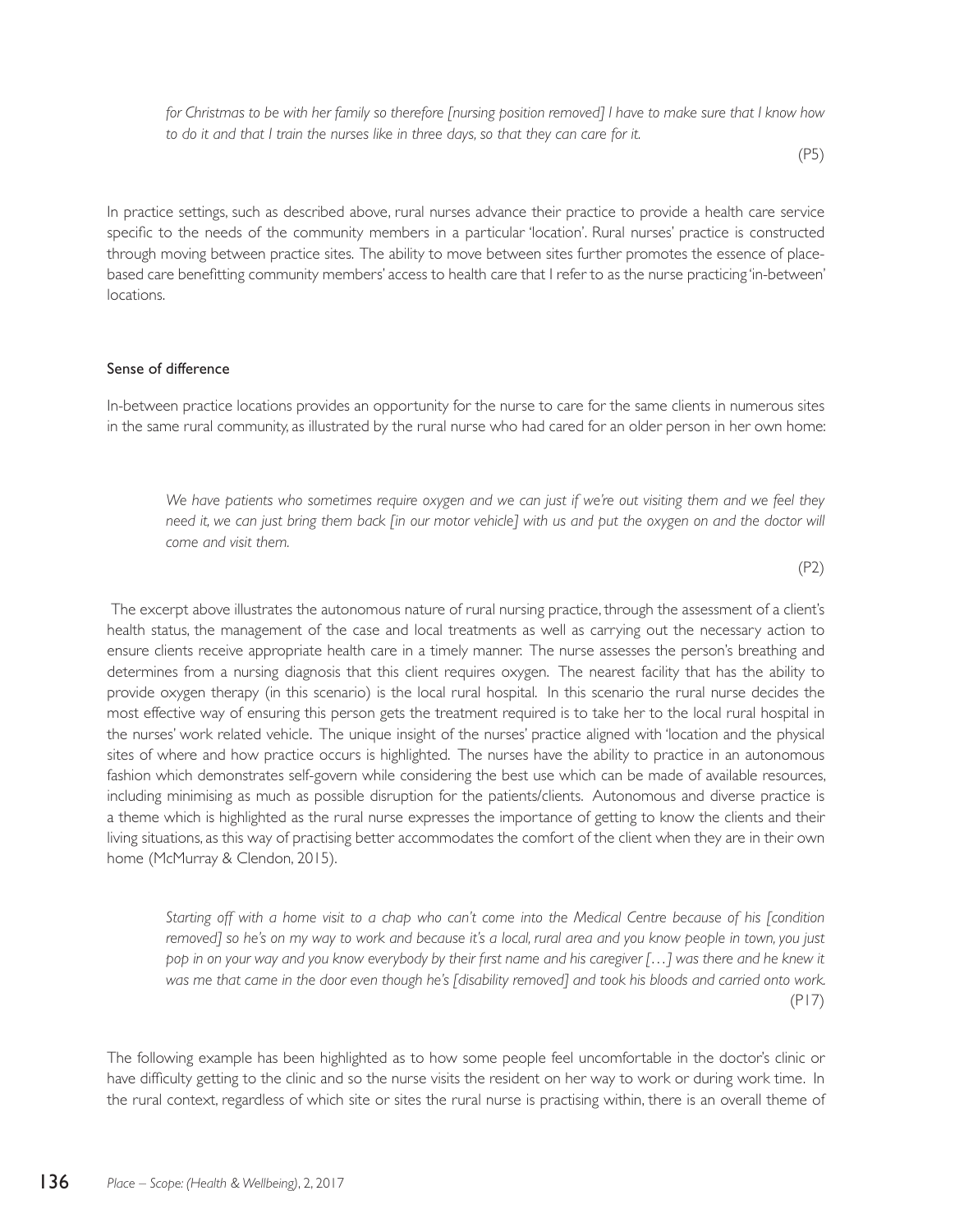for Christmas to be with her family so therefore *[nursing position removed] | have to make sure that | know how to do it and that I train the nurses like in three days, so that they can care for it.* 

(P5)

In practice settings, such as described above, rural nurses advance their practice to provide a health care service specific to the needs of the community members in a particular 'location'. Rural nurses' practice is constructed through moving between practice sites. The ability to move between sites further promotes the essence of placebased care benefitting community members' access to health care that I refer to as the nurse practicing 'in-between' locations.

#### Sense of difference

In-between practice locations provides an opportunity for the nurse to care for the same clients in numerous sites in the same rural community, as illustrated by the rural nurse who had cared for an older person in her own home:

*We have patients who sometimes require oxygen and we can just if we're out visiting them and we feel they need it, we can just bring them back [in our motor vehicle] with us and put the oxygen on and the doctor will come and visit them.* 

(P2)

The excerpt above illustrates the autonomous nature of rural nursing practice, through the assessment of a client's health status, the management of the case and local treatments as well as carrying out the necessary action to ensure clients receive appropriate health care in a timely manner. The nurse assesses the person's breathing and determines from a nursing diagnosis that this client requires oxygen. The nearest facility that has the ability to provide oxygen therapy (in this scenario) is the local rural hospital. In this scenario the rural nurse decides the most effective way of ensuring this person gets the treatment required is to take her to the local rural hospital in the nurses' work related vehicle. The unique insight of the nurses' practice aligned with 'location and the physical sites of where and how practice occurs is highlighted. The nurses have the ability to practice in an autonomous fashion which demonstrates self-govern while considering the best use which can be made of available resources, including minimising as much as possible disruption for the patients/clients. Autonomous and diverse practice is a theme which is highlighted as the rural nurse expresses the importance of getting to know the clients and their living situations, as this way of practising better accommodates the comfort of the client when they are in their own home (McMurray & Clendon, 2015).

*Starting off with a home visit to a chap who can't come into the Medical Centre because of his [condition removed] so he's on my way to work and because it's a local, rural area and you know people in town, you just*  pop in on your way and you know everybody by their first name and his caregiver [...] was there and he knew it *was me that came in the door even though he's [disability removed] and took his bloods and carried onto work.*  (P17)

The following example has been highlighted as to how some people feel uncomfortable in the doctor's clinic or have difficulty getting to the clinic and so the nurse visits the resident on her way to work or during work time. In the rural context, regardless of which site or sites the rural nurse is practising within, there is an overall theme of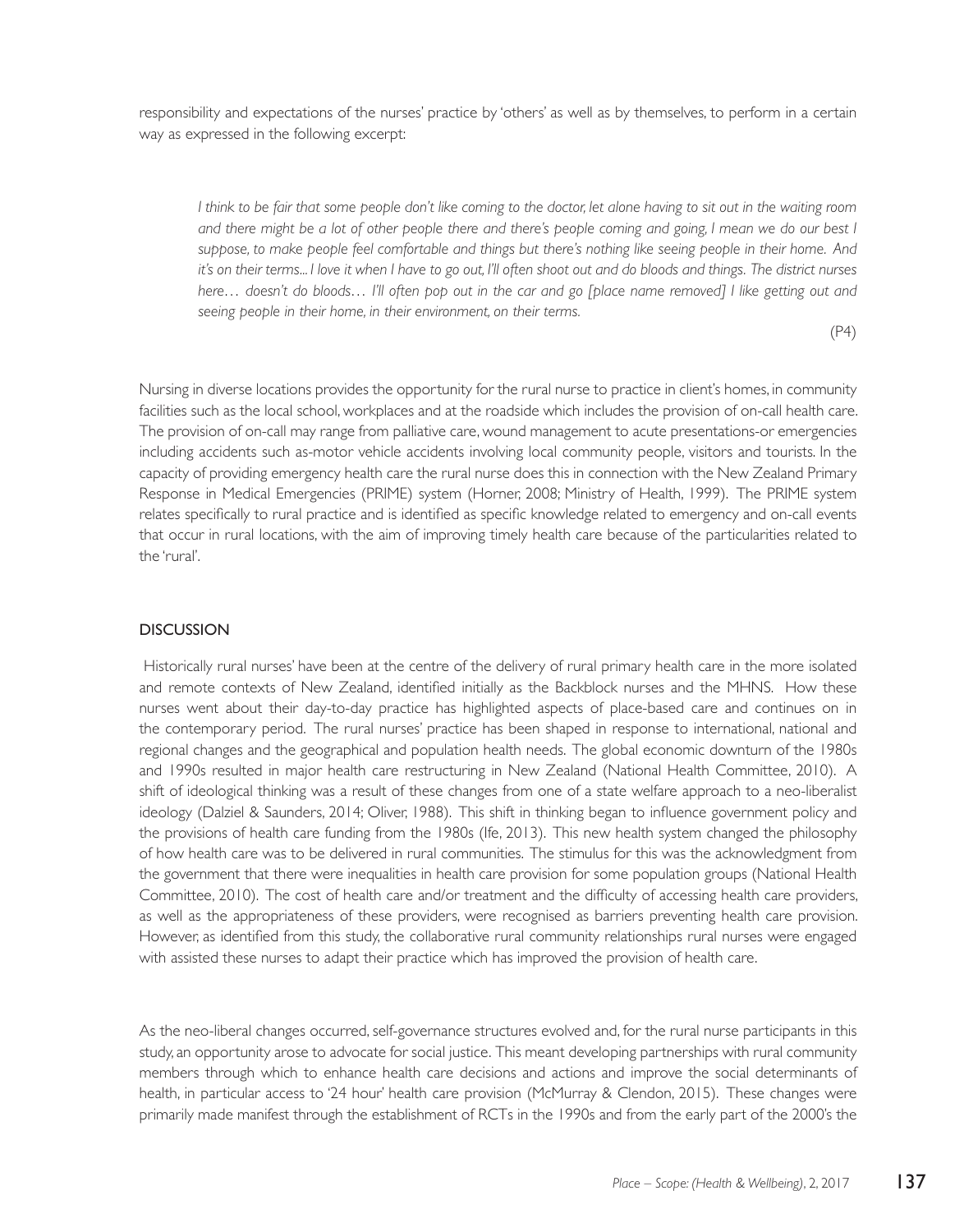responsibility and expectations of the nurses' practice by 'others' as well as by themselves, to perform in a certain way as expressed in the following excerpt:

*I think to be fair that some people don't like coming to the doctor, let alone having to sit out in the waiting room and there might be a lot of other people there and there's people coming and going, I mean we do our best I suppose, to make people feel comfortable and things but there's nothing like seeing people in their home. And it's on their terms... I love it when I have to go out, I'll often shoot out and do bloods and things. The district nurses here… doesn't do bloods… I'll often pop out in the car and go [place name removed] I like getting out and seeing people in their home, in their environment, on their terms.*

(P4)

Nursing in diverse locations provides the opportunity for the rural nurse to practice in client's homes, in community facilities such as the local school, workplaces and at the roadside which includes the provision of on-call health care. The provision of on-call may range from palliative care, wound management to acute presentations-or emergencies including accidents such as-motor vehicle accidents involving local community people, visitors and tourists. In the capacity of providing emergency health care the rural nurse does this in connection with the New Zealand Primary Response in Medical Emergencies (PRIME) system (Horner, 2008; Ministry of Health, 1999). The PRIME system relates specifically to rural practice and is identified as specific knowledge related to emergency and on-call events that occur in rural locations, with the aim of improving timely health care because of the particularities related to the 'rural'.

#### DISCUSSION

 Historically rural nurses' have been at the centre of the delivery of rural primary health care in the more isolated and remote contexts of New Zealand, identified initially as the Backblock nurses and the MHNS. How these nurses went about their day-to-day practice has highlighted aspects of place-based care and continues on in the contemporary period. The rural nurses' practice has been shaped in response to international, national and regional changes and the geographical and population health needs. The global economic downturn of the 1980s and 1990s resulted in major health care restructuring in New Zealand (National Health Committee, 2010). A shift of ideological thinking was a result of these changes from one of a state welfare approach to a neo-liberalist ideology (Dalziel & Saunders, 2014; Oliver, 1988). This shift in thinking began to influence government policy and the provisions of health care funding from the 1980s (Ife, 2013). This new health system changed the philosophy of how health care was to be delivered in rural communities. The stimulus for this was the acknowledgment from the government that there were inequalities in health care provision for some population groups (National Health Committee, 2010). The cost of health care and/or treatment and the difficulty of accessing health care providers, as well as the appropriateness of these providers, were recognised as barriers preventing health care provision. However, as identified from this study, the collaborative rural community relationships rural nurses were engaged with assisted these nurses to adapt their practice which has improved the provision of health care.

As the neo-liberal changes occurred, self-governance structures evolved and, for the rural nurse participants in this study, an opportunity arose to advocate for social justice. This meant developing partnerships with rural community members through which to enhance health care decisions and actions and improve the social determinants of health, in particular access to '24 hour' health care provision (McMurray & Clendon, 2015). These changes were primarily made manifest through the establishment of RCTs in the 1990s and from the early part of the 2000's the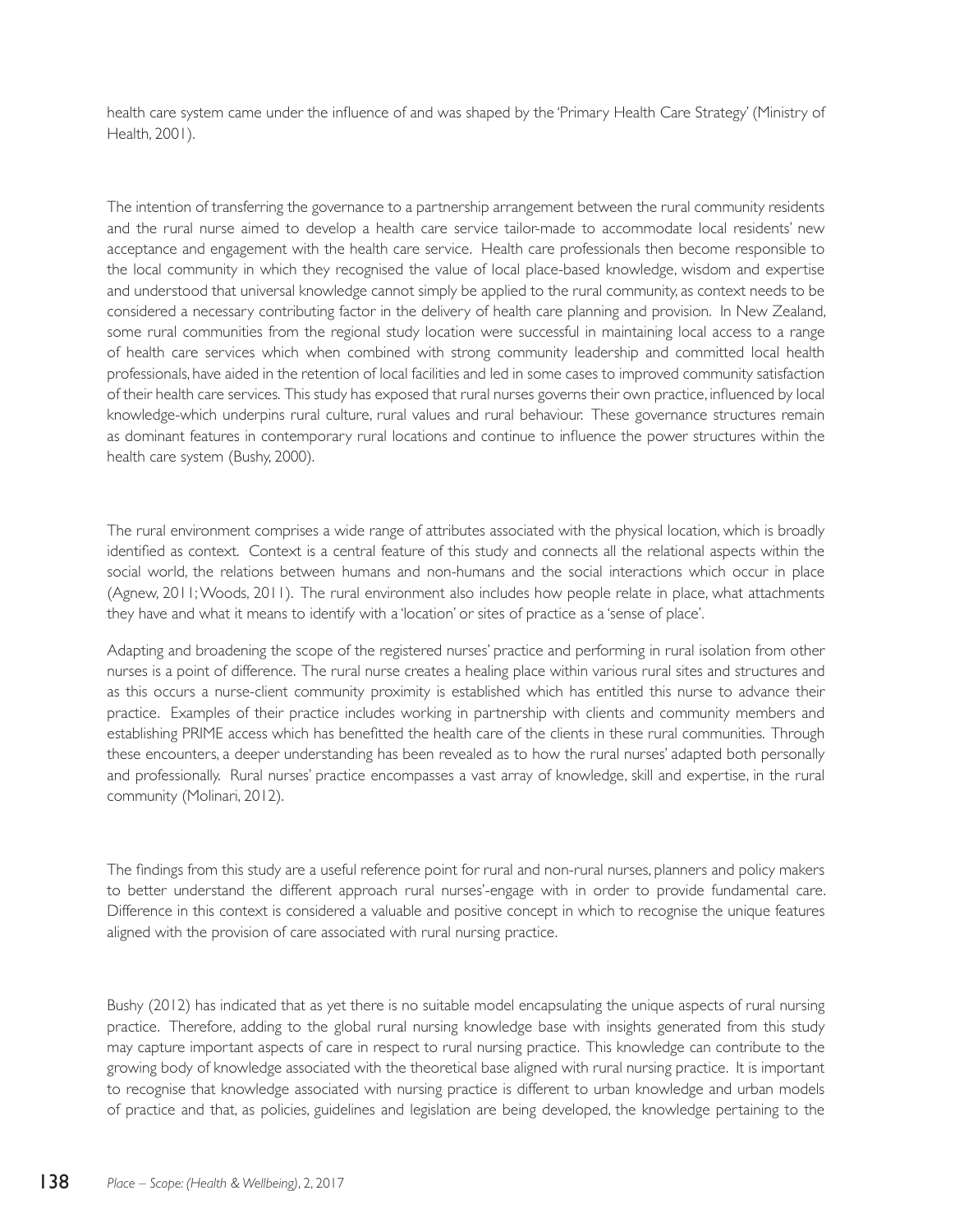health care system came under the influence of and was shaped by the 'Primary Health Care Strategy' (Ministry of Health, 2001).

The intention of transferring the governance to a partnership arrangement between the rural community residents and the rural nurse aimed to develop a health care service tailor-made to accommodate local residents' new acceptance and engagement with the health care service. Health care professionals then become responsible to the local community in which they recognised the value of local place-based knowledge, wisdom and expertise and understood that universal knowledge cannot simply be applied to the rural community, as context needs to be considered a necessary contributing factor in the delivery of health care planning and provision. In New Zealand, some rural communities from the regional study location were successful in maintaining local access to a range of health care services which when combined with strong community leadership and committed local health professionals, have aided in the retention of local facilities and led in some cases to improved community satisfaction of their health care services. This study has exposed that rural nurses governs their own practice, influenced by local knowledge-which underpins rural culture, rural values and rural behaviour. These governance structures remain as dominant features in contemporary rural locations and continue to influence the power structures within the health care system (Bushy, 2000).

The rural environment comprises a wide range of attributes associated with the physical location, which is broadly identified as context. Context is a central feature of this study and connects all the relational aspects within the social world, the relations between humans and non-humans and the social interactions which occur in place (Agnew, 2011; Woods, 2011). The rural environment also includes how people relate in place, what attachments they have and what it means to identify with a 'location' or sites of practice as a 'sense of place'.

Adapting and broadening the scope of the registered nurses' practice and performing in rural isolation from other nurses is a point of difference. The rural nurse creates a healing place within various rural sites and structures and as this occurs a nurse-client community proximity is established which has entitled this nurse to advance their practice. Examples of their practice includes working in partnership with clients and community members and establishing PRIME access which has benefitted the health care of the clients in these rural communities. Through these encounters, a deeper understanding has been revealed as to how the rural nurses' adapted both personally and professionally. Rural nurses' practice encompasses a vast array of knowledge, skill and expertise, in the rural community (Molinari, 2012).

The findings from this study are a useful reference point for rural and non-rural nurses, planners and policy makers to better understand the different approach rural nurses'-engage with in order to provide fundamental care. Difference in this context is considered a valuable and positive concept in which to recognise the unique features aligned with the provision of care associated with rural nursing practice.

Bushy (2012) has indicated that as yet there is no suitable model encapsulating the unique aspects of rural nursing practice. Therefore, adding to the global rural nursing knowledge base with insights generated from this study may capture important aspects of care in respect to rural nursing practice. This knowledge can contribute to the growing body of knowledge associated with the theoretical base aligned with rural nursing practice. It is important to recognise that knowledge associated with nursing practice is different to urban knowledge and urban models of practice and that, as policies, guidelines and legislation are being developed, the knowledge pertaining to the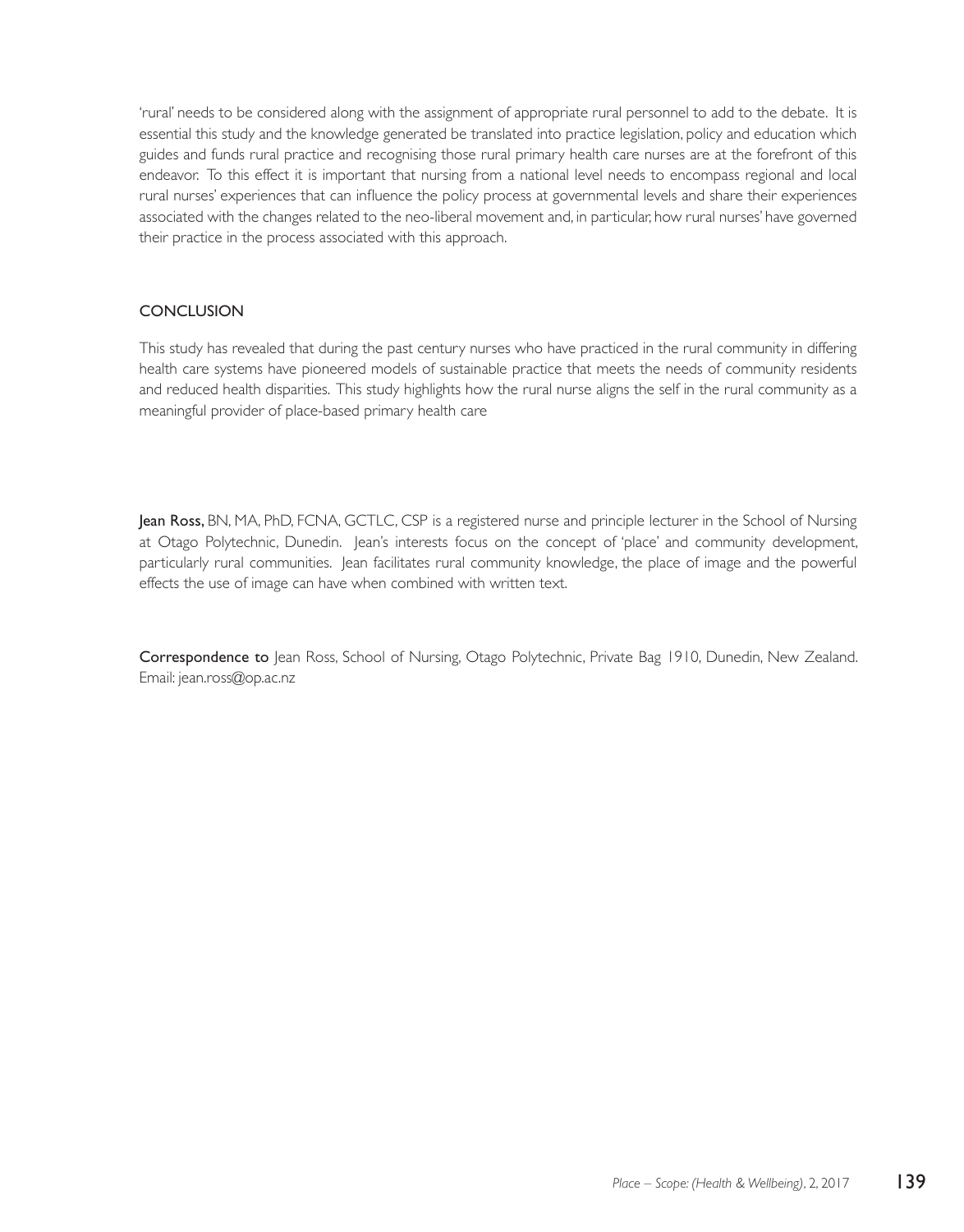'rural' needs to be considered along with the assignment of appropriate rural personnel to add to the debate. It is essential this study and the knowledge generated be translated into practice legislation, policy and education which guides and funds rural practice and recognising those rural primary health care nurses are at the forefront of this endeavor. To this effect it is important that nursing from a national level needs to encompass regional and local rural nurses' experiences that can influence the policy process at governmental levels and share their experiences associated with the changes related to the neo-liberal movement and, in particular, how rural nurses' have governed their practice in the process associated with this approach.

## **CONCLUSION**

This study has revealed that during the past century nurses who have practiced in the rural community in differing health care systems have pioneered models of sustainable practice that meets the needs of community residents and reduced health disparities. This study highlights how the rural nurse aligns the self in the rural community as a meaningful provider of place-based primary health care

Jean Ross, BN, MA, PhD, FCNA, GCTLC, CSP is a registered nurse and principle lecturer in the School of Nursing at Otago Polytechnic, Dunedin. Jean's interests focus on the concept of 'place' and community development, particularly rural communities. Jean facilitates rural community knowledge, the place of image and the powerful effects the use of image can have when combined with written text.

Correspondence to Jean Ross, School of Nursing, Otago Polytechnic, Private Bag 1910, Dunedin, New Zealand. Email: jean.ross@op.ac.nz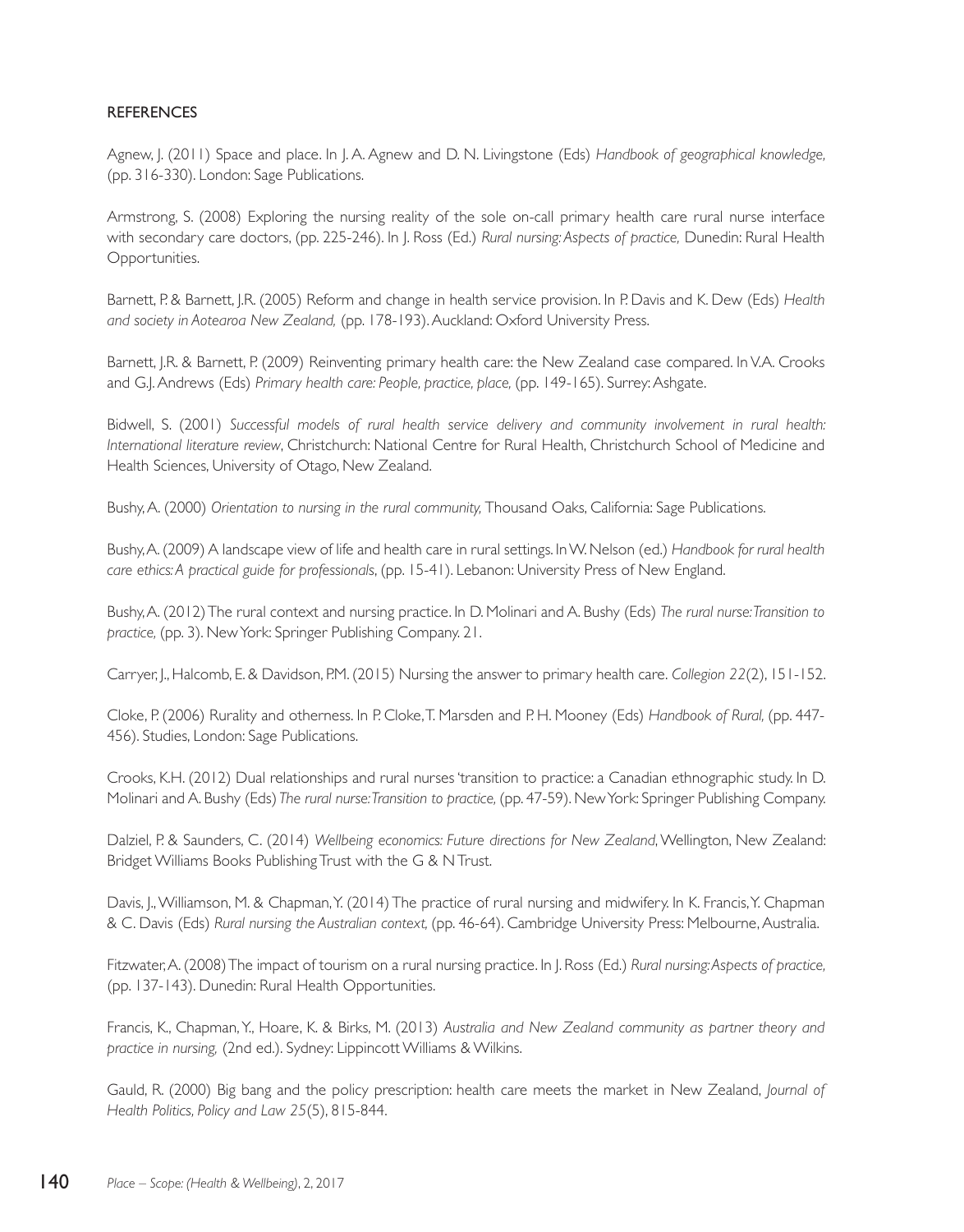## **REFERENCES**

Agnew, J. (2011) Space and place. In J. A. Agnew and D. N. Livingstone (Eds) *Handbook of geographical knowledge,*  (pp. 316-330). London: Sage Publications.

Armstrong, S. (2008) Exploring the nursing reality of the sole on-call primary health care rural nurse interface with secondary care doctors, (pp. 225-246). In J. Ross (Ed.) *Rural nursing: Aspects of practice,* Dunedin: Rural Health Opportunities.

Barnett, P. & Barnett, J.R. (2005) Reform and change in health service provision. In P. Davis and K. Dew (Eds) *Health and society in Aotearoa New Zealand,* (pp. 178-193). Auckland: Oxford University Press.

Barnett, J.R. & Barnett, P. (2009) Reinventing primary health care: the New Zealand case compared. In V.A. Crooks and G.J. Andrews (Eds) *Primary health care: People, practice, place,* (pp. 149-165). Surrey: Ashgate.

Bidwell, S. (2001) *Successful models of rural health service delivery and community involvement in rural health: International literature review*, Christchurch: National Centre for Rural Health, Christchurch School of Medicine and Health Sciences, University of Otago, New Zealand.

Bushy, A. (2000) *Orientation to nursing in the rural community,* Thousand Oaks, California: Sage Publications.

Bushy, A. (2009) A landscape view of life and health care in rural settings. In W. Nelson (ed.) *Handbook for rural health care ethics: A practical guide for professionals*, (pp. 15-41). Lebanon: University Press of New England.

Bushy, A. (2012) The rural context and nursing practice. In D. Molinari and A. Bushy (Eds) *The rural nurse: Transition to practice,* (pp. 3). New York: Springer Publishing Company. 21.

Carryer, J., Halcomb, E. & Davidson, P.M. (2015) Nursing the answer to primary health care. *Collegion 22*(2), 151-152.

Cloke, P. (2006) Rurality and otherness. In P. Cloke, T. Marsden and P. H. Mooney (Eds) *Handbook of Rural,* (pp. 447- 456). Studies, London: Sage Publications.

Crooks, K.H. (2012) Dual relationships and rural nurses 'transition to practice: a Canadian ethnographic study. In D. Molinari and A. Bushy (Eds) *The rural nurse: Transition to practice,* (pp. 47-59). New York: Springer Publishing Company.

Dalziel, P. & Saunders, C. (2014) *Wellbeing economics: Future directions for New Zealand*, Wellington, New Zealand: Bridget Williams Books Publishing Trust with the G & N Trust.

Davis, J., Williamson, M. & Chapman, Y. (2014) The practice of rural nursing and midwifery. In K. Francis, Y. Chapman & C. Davis (Eds) *Rural nursing the Australian context,* (pp. 46-64). Cambridge University Press: Melbourne, Australia.

Fitzwater, A. (2008) The impact of tourism on a rural nursing practice. In J. Ross (Ed.) *Rural nursing: Aspects of practice,*  (pp. 137-143). Dunedin: Rural Health Opportunities.

Francis, K., Chapman, Y., Hoare, K. & Birks, M. (2013) *Australia and New Zealand community as partner theory and practice in nursing,* (2nd ed.). Sydney: Lippincott Williams & Wilkins.

Gauld, R. (2000) Big bang and the policy prescription: health care meets the market in New Zealand, *Journal of Health Politics, Policy and Law 25*(5), 815-844.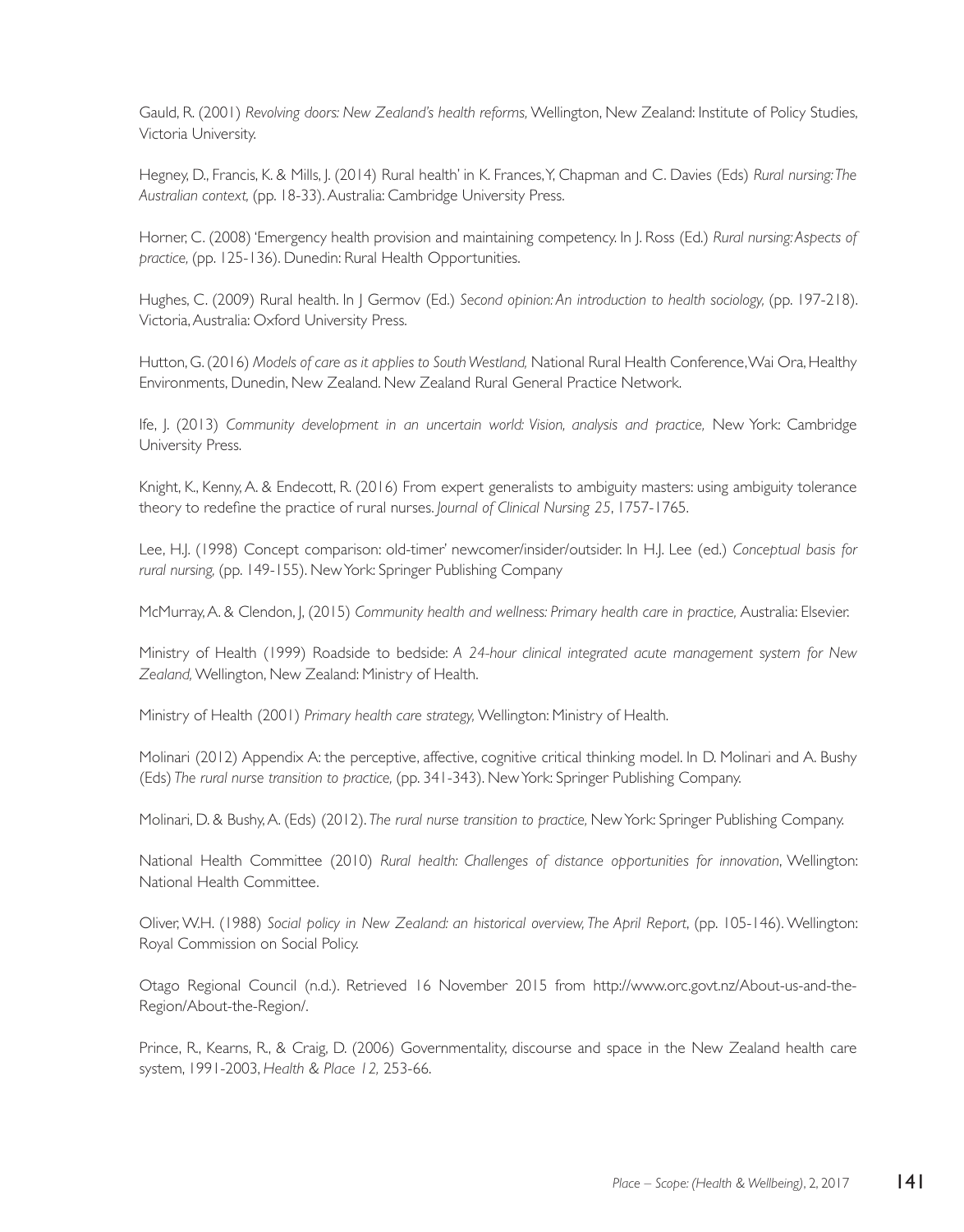Gauld, R. (2001) *Revolving doors: New Zealand's health reforms,* Wellington, New Zealand: Institute of Policy Studies, Victoria University.

Hegney, D., Francis, K. & Mills, J. (2014) Rural health' in K. Frances, Y, Chapman and C. Davies (Eds) *Rural nursing: The Australian context,* (pp. 18-33). Australia: Cambridge University Press.

Horner, C. (2008) 'Emergency health provision and maintaining competency. In J. Ross (Ed.) *Rural nursing: Aspects of practice,* (pp. 125-136). Dunedin: Rural Health Opportunities.

Hughes, C. (2009) Rural health. In J Germov (Ed.) *Second opinion: An introduction to health sociology,* (pp. 197-218). Victoria, Australia: Oxford University Press.

Hutton, G. (2016) *Models of care as it applies to South Westland,* National Rural Health Conference, Wai Ora, Healthy Environments, Dunedin, New Zealand. New Zealand Rural General Practice Network.

Ife, J. (2013) *Community development in an uncertain world: Vision, analysis and practice,* New York: Cambridge University Press.

Knight, K., Kenny, A. & Endecott, R. (2016) From expert generalists to ambiguity masters: using ambiguity tolerance theory to redefine the practice of rural nurses. *Journal of Clinical Nursing 25*, 1757-1765.

Lee, H.J. (1998) Concept comparison: old-timer' newcomer/insider/outsider. In H.J. Lee (ed.) *Conceptual basis for rural nursing,* (pp. 149-155). New York: Springer Publishing Company

McMurray, A. & Clendon, J, (2015) *Community health and wellness: Primary health care in practice,* Australia: Elsevier.

Ministry of Health (1999) Roadside to bedside: *A 24-hour clinical integrated acute management system for New Zealand,* Wellington, New Zealand: Ministry of Health.

Ministry of Health (2001) *Primary health care strategy,* Wellington: Ministry of Health.

Molinari (2012) Appendix A: the perceptive, affective, cognitive critical thinking model. In D. Molinari and A. Bushy (Eds) *The rural nurse transition to practice,* (pp. 341-343). New York: Springer Publishing Company.

Molinari, D. & Bushy, A. (Eds) (2012). *The rural nurse transition to practice,* New York: Springer Publishing Company.

National Health Committee (2010) *Rural health: Challenges of distance opportunities for innovation*, Wellington: National Health Committee.

Oliver, W.H. (1988) *Social policy in New Zealand: an historical overview, The April Report*, (pp. 105-146). Wellington: Royal Commission on Social Policy.

Otago Regional Council (n.d.). Retrieved 16 November 2015 from http://www.orc.govt.nz/About-us-and-the-Region/About-the-Region/.

Prince, R., Kearns, R., & Craig, D. (2006) Governmentality, discourse and space in the New Zealand health care system, 1991-2003, *Health & Place 12,* 253-66.